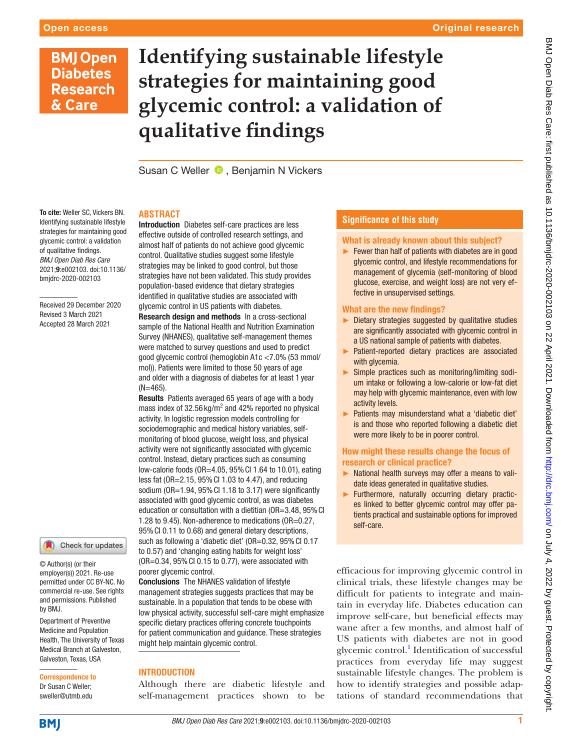## **BMJ Open Diabetes Research** & Care

# **Identifying sustainable lifestyle strategies for maintaining good glycemic control: a validation of qualitative findings**

Susan C Weller  $\bullet$ , Benjamin N Vickers

Introduction Diabetes self-care practices are less

#### **ABSTRACT**

To cite: Weller SC, Vickers BN. Identifying sustainable lifestyle strategies for maintaining good glycemic control: a validation of qualitative findings. *BMJ Open Diab Res Care* 2021;9:e002103. doi:10.1136/ bmjdrc-2020-002103

Received 29 December 2020 Revised 3 March 2021 Accepted 28 March 2021



© Author(s) (or their employer(s)) 2021. Re-use permitted under CC BY-NC. No commercial re-use. See rights and permissions. Published by BMJ.

Department of Preventive Medicine and Population Health, The University of Texas Medical Branch at Galveston, Galveston, Texas, USA

Correspondence to Dr Susan C Weller; sweller@utmb.edu

effective outside of controlled research settings, and almost half of patients do not achieve good glycemic control. Qualitative studies suggest some lifestyle strategies may be linked to good control, but those strategies have not been validated. This study provides population-based evidence that dietary strategies identified in qualitative studies are associated with glycemic control in US patients with diabetes. Research design and methods In a cross-sectional sample of the National Health and Nutrition Examination Survey (NHANES), qualitative self-management themes were matched to survey questions and used to predict good glycemic control (hemoglobin A1c <7.0% (53 mmol/ mol)). Patients were limited to those 50 years of age and older with a diagnosis of diabetes for at least 1 year  $(N=465)$ 

Results Patients averaged 65 years of age with a body mass index of  $32.56$  kg/m<sup>2</sup> and 42% reported no physical activity. In logistic regression models controlling for sociodemographic and medical history variables, selfmonitoring of blood glucose, weight loss, and physical activity were not significantly associated with glycemic control. Instead, dietary practices such as consuming low-calorie foods (OR=4.05, 95%CI 1.64 to 10.01), eating less fat (OR=2.15, 95%CI 1.03 to 4.47), and reducing sodium (OR=1.94, 95% CI 1.18 to 3.17) were significantly associated with good glycemic control, as was diabetes education or consultation with a dietitian (OR=3.48, 95% CI 1.28 to 9.45). Non-adherence to medications (OR=0.27, 95%CI 0.11 to 0.68) and general dietary descriptions, such as following a 'diabetic diet' (OR=0.32, 95% CI 0.17 to 0.57) and 'changing eating habits for weight loss'  $(OR=0.34, 95\% \text{ CI } 0.15 \text{ to } 0.77)$ , were associated with poorer glycemic control.

Conclusions The NHANES validation of lifestyle management strategies suggests practices that may be sustainable. In a population that tends to be obese with low physical activity, successful self-care might emphasize specific dietary practices offering concrete touchpoints for patient communication and guidance. These strategies might help maintain glycemic control.

#### INTRODUCTION

Although there are diabetic lifestyle and self-management practices shown to be

### **Significance of this study**

#### What is already known about this subject?

 $\blacktriangleright$  Fewer than half of patients with diabetes are in good glycemic control, and lifestyle recommendations for management of glycemia (self-monitoring of blood glucose, exercise, and weight loss) are not very effective in unsupervised settings.

#### What are the new findings?

- ► Dietary strategies suggested by qualitative studies are significantly associated with glycemic control in a US national sample of patients with diabetes.
- ► Patient-reported dietary practices are associated with glycemia.
- ► Simple practices such as monitoring/limiting sodium intake or following a low-calorie or low-fat diet may help with glycemic maintenance, even with low activity levels.
- ► Patients may misunderstand what a 'diabetic diet' is and those who reported following a diabetic diet were more likely to be in poorer control.

#### How might these results change the focus of research or clinical practice?

- ► National health surveys may offer a means to validate ideas generated in qualitative studies.
- ► Furthermore, naturally occurring dietary practices linked to better glycemic control may offer patients practical and sustainable options for improved self-care.

efficacious for improving glycemic control in clinical trials, these lifestyle changes may be difficult for patients to integrate and maintain in everyday life. Diabetes education can improve self-care, but beneficial effects may wane after a few months, and almost half of US patients with diabetes are not in good glycemic control.<sup>1</sup> Identification of successful practices from everyday life may suggest sustainable lifestyle changes. The problem is how to identify strategies and possible adaptations of standard recommendations that

**BMJ**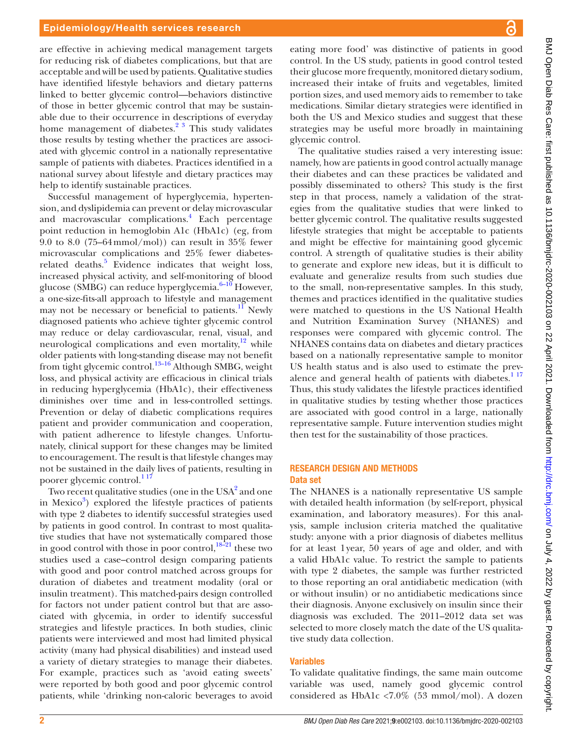are effective in achieving medical management targets for reducing risk of diabetes complications, but that are acceptable and will be used by patients. Qualitative studies have identified lifestyle behaviors and dietary patterns linked to better glycemic control—behaviors distinctive of those in better glycemic control that may be sustainable due to their occurrence in descriptions of everyday home management of diabetes. $2^3$  This study validates those results by testing whether the practices are associated with glycemic control in a nationally representative sample of patients with diabetes. Practices identified in a national survey about lifestyle and dietary practices may help to identify sustainable practices.

Successful management of hyperglycemia, hypertension, and dyslipidemia can prevent or delay microvascular and macrovascular complications.<sup>4</sup> Each percentage point reduction in hemoglobin A1c (HbA1c) (eg, from 9.0 to 8.0 (75–64mmol/mol)) can result in 35% fewer microvascular complications and 25% fewer diabetes-related deaths.<sup>[5](#page-7-3)</sup> Evidence indicates that weight loss, increased physical activity, and self-monitoring of blood glucose (SMBG) can reduce hyperglycemia. $6-10$  However, a one-size-fits-all approach to lifestyle and management may not be necessary or beneficial to patients. $^{11}$  $^{11}$  $^{11}$  Newly diagnosed patients who achieve tighter glycemic control may reduce or delay cardiovascular, renal, visual, and neurological complications and even mortality, $12$  while older patients with long-standing disease may not benefit from tight glycemic control.<sup>13–16</sup> Although SMBG, weight loss, and physical activity are efficacious in clinical trials in reducing hyperglycemia (HbA1c), their effectiveness diminishes over time and in less-controlled settings. Prevention or delay of diabetic complications requires patient and provider communication and cooperation, with patient adherence to lifestyle changes. Unfortunately, clinical support for these changes may be limited to encouragement. The result is that lifestyle changes may not be sustained in the daily lives of patients, resulting in poorer glycemic control.<sup>117</sup>

Two recent qualitative studies (one in the USA $^2$  $^2$  and one in Mexico<sup>3</sup>) explored the lifestyle practices of patients with type 2 diabetes to identify successful strategies used by patients in good control. In contrast to most qualitative studies that have not systematically compared those in good control with those in poor control, $18-21$  these two studies used a case–control design comparing patients with good and poor control matched across groups for duration of diabetes and treatment modality (oral or insulin treatment). This matched-pairs design controlled for factors not under patient control but that are associated with glycemia, in order to identify successful strategies and lifestyle practices. In both studies, clinic patients were interviewed and most had limited physical activity (many had physical disabilities) and instead used a variety of dietary strategies to manage their diabetes. For example, practices such as 'avoid eating sweets' were reported by both good and poor glycemic control patients, while 'drinking non-caloric beverages to avoid

eating more food' was distinctive of patients in good control. In the US study, patients in good control tested their glucose more frequently, monitored dietary sodium, increased their intake of fruits and vegetables, limited portion sizes, and used memory aids to remember to take medications. Similar dietary strategies were identified in both the US and Mexico studies and suggest that these strategies may be useful more broadly in maintaining glycemic control.

The qualitative studies raised a very interesting issue: namely, how are patients in good control actually manage their diabetes and can these practices be validated and possibly disseminated to others? This study is the first step in that process, namely a validation of the strategies from the qualitative studies that were linked to better glycemic control. The qualitative results suggested lifestyle strategies that might be acceptable to patients and might be effective for maintaining good glycemic control. A strength of qualitative studies is their ability to generate and explore new ideas, but it is difficult to evaluate and generalize results from such studies due to the small, non-representative samples. In this study, themes and practices identified in the qualitative studies were matched to questions in the US National Health and Nutrition Examination Survey (NHANES) and responses were compared with glycemic control. The NHANES contains data on diabetes and dietary practices based on a nationally representative sample to monitor US health status and is also used to estimate the prevalence and general health of patients with diabetes. $1^{17}$ Thus, this study validates the lifestyle practices identified in qualitative studies by testing whether those practices are associated with good control in a large, nationally representative sample. Future intervention studies might then test for the sustainability of those practices.

#### RESEARCH DESIGN AND METHODS Data set

The NHANES is a nationally representative US sample with detailed health information (by self-report, physical examination, and laboratory measures). For this analysis, sample inclusion criteria matched the qualitative study: anyone with a prior diagnosis of diabetes mellitus for at least 1year, 50 years of age and older, and with a valid HbA1c value. To restrict the sample to patients with type 2 diabetes, the sample was further restricted to those reporting an oral antidiabetic medication (with or without insulin) or no antidiabetic medications since their diagnosis. Anyone exclusively on insulin since their diagnosis was excluded. The 2011–2012 data set was selected to more closely match the date of the US qualitative study data collection.

#### Variables

To validate qualitative findings, the same main outcome variable was used, namely good glycemic control considered as HbA1c <7.0% (53 mmol/mol). A dozen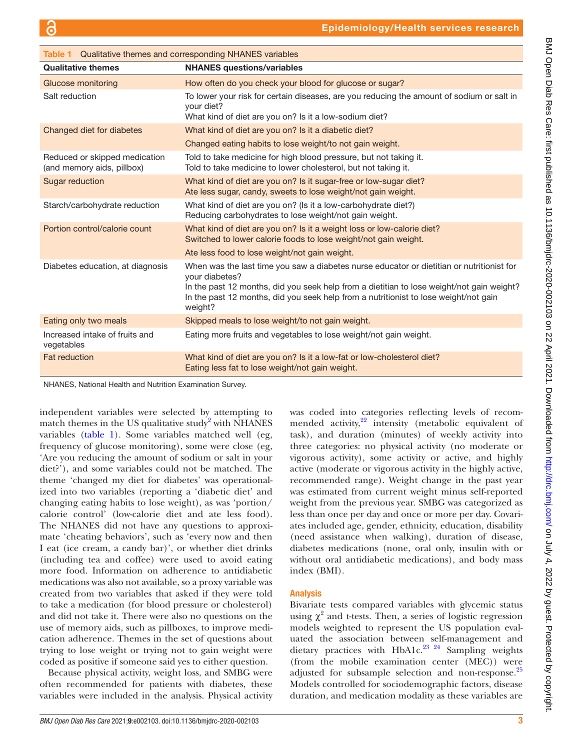<span id="page-2-0"></span>

| <b>Table 1</b> Qualitative themes and corresponding NHANES variables |                                                                                                                                                                                                                                                                                                             |  |  |
|----------------------------------------------------------------------|-------------------------------------------------------------------------------------------------------------------------------------------------------------------------------------------------------------------------------------------------------------------------------------------------------------|--|--|
| <b>Qualitative themes</b>                                            | <b>NHANES</b> questions/variables                                                                                                                                                                                                                                                                           |  |  |
| <b>Glucose monitoring</b>                                            | How often do you check your blood for glucose or sugar?                                                                                                                                                                                                                                                     |  |  |
| Salt reduction                                                       | To lower your risk for certain diseases, are you reducing the amount of sodium or salt in<br>your diet?<br>What kind of diet are you on? Is it a low-sodium diet?                                                                                                                                           |  |  |
| Changed diet for diabetes                                            | What kind of diet are you on? Is it a diabetic diet?                                                                                                                                                                                                                                                        |  |  |
|                                                                      | Changed eating habits to lose weight/to not gain weight.                                                                                                                                                                                                                                                    |  |  |
| Reduced or skipped medication<br>(and memory aids, pillbox)          | Told to take medicine for high blood pressure, but not taking it.<br>Told to take medicine to lower cholesterol, but not taking it.                                                                                                                                                                         |  |  |
| Sugar reduction                                                      | What kind of diet are you on? Is it sugar-free or low-sugar diet?<br>Ate less sugar, candy, sweets to lose weight/not gain weight.                                                                                                                                                                          |  |  |
| Starch/carbohydrate reduction                                        | What kind of diet are you on? (Is it a low-carbohydrate diet?)<br>Reducing carbohydrates to lose weight/not gain weight.                                                                                                                                                                                    |  |  |
| Portion control/calorie count                                        | What kind of diet are you on? Is it a weight loss or low-calorie diet?<br>Switched to lower calorie foods to lose weight/not gain weight.                                                                                                                                                                   |  |  |
|                                                                      | Ate less food to lose weight/not gain weight.                                                                                                                                                                                                                                                               |  |  |
| Diabetes education, at diagnosis                                     | When was the last time you saw a diabetes nurse educator or dietitian or nutritionist for<br>your diabetes?<br>In the past 12 months, did you seek help from a dietitian to lose weight/not gain weight?<br>In the past 12 months, did you seek help from a nutritionist to lose weight/not gain<br>weight? |  |  |
| Eating only two meals                                                | Skipped meals to lose weight/to not gain weight.                                                                                                                                                                                                                                                            |  |  |
| Increased intake of fruits and<br>vegetables                         | Eating more fruits and vegetables to lose weight/not gain weight.                                                                                                                                                                                                                                           |  |  |
| <b>Fat reduction</b>                                                 | What kind of diet are you on? Is it a low-fat or low-cholesterol diet?<br>Eating less fat to lose weight/not gain weight.                                                                                                                                                                                   |  |  |

NHANES, National Health and Nutrition Examination Survey.

independent variables were selected by attempting to match themes in the US qualitative study<sup>[2](#page-7-1)</sup> with NHANES variables [\(table](#page-2-0) 1). Some variables matched well (eg, frequency of glucose monitoring), some were close (eg, 'Are you reducing the amount of sodium or salt in your diet?'), and some variables could not be matched. The theme 'changed my diet for diabetes' was operationalized into two variables (reporting a 'diabetic diet' and changing eating habits to lose weight), as was 'portion/ calorie control' (low-calorie diet and ate less food). The NHANES did not have any questions to approximate 'cheating behaviors', such as 'every now and then I eat (ice cream, a candy bar)', or whether diet drinks (including tea and coffee) were used to avoid eating more food. Information on adherence to antidiabetic medications was also not available, so a proxy variable was created from two variables that asked if they were told to take a medication (for blood pressure or cholesterol) and did not take it. There were also no questions on the use of memory aids, such as pillboxes, to improve medication adherence. Themes in the set of questions about trying to lose weight or trying not to gain weight were coded as positive if someone said yes to either question.

Because physical activity, weight loss, and SMBG were often recommended for patients with diabetes, these variables were included in the analysis. Physical activity was coded into categories reflecting levels of recommended activity, $22$  intensity (metabolic equivalent of task), and duration (minutes) of weekly activity into three categories: no physical activity (no moderate or vigorous activity), some activity or active, and highly active (moderate or vigorous activity in the highly active, recommended range). Weight change in the past year was estimated from current weight minus self-reported weight from the previous year. SMBG was categorized as less than once per day and once or more per day. Covariates included age, gender, ethnicity, education, disability (need assistance when walking), duration of disease, diabetes medications (none, oral only, insulin with or without oral antidiabetic medications), and body mass index (BMI).

### Analysis

Bivariate tests compared variables with glycemic status using  $\chi^2$  and t-tests. Then, a series of logistic regression models weighted to represent the US population evaluated the association between self-management and dietary practices with HbA1c.<sup>23</sup> <sup>24</sup> Sampling weights (from the mobile examination center (MEC)) were adjusted for subsample selection and non-response.<sup>25</sup> Models controlled for sociodemographic factors, disease duration, and medication modality as these variables are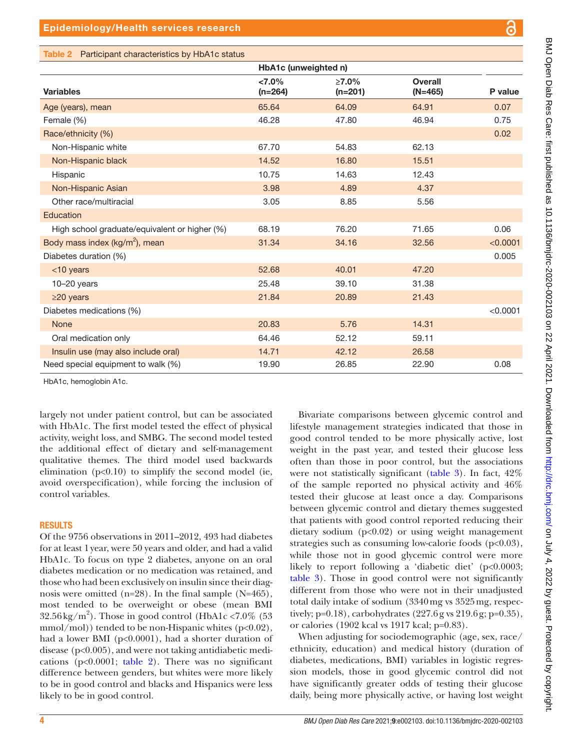**Overall** 

| <b>Variables</b>                              | $< 7.0\%$<br>$(n=264)$ | $\geq 7.0\%$<br>$(n=201)$ | <b>Overall</b><br>$(N=465)$ | P value  |
|-----------------------------------------------|------------------------|---------------------------|-----------------------------|----------|
| Age (years), mean                             | 65.64                  | 64.09                     | 64.91                       | 0.07     |
| Female (%)                                    | 46.28                  | 47.80                     | 46.94                       | 0.75     |
| Race/ethnicity (%)                            |                        |                           |                             | 0.02     |
| Non-Hispanic white                            | 67.70                  | 54.83                     | 62.13                       |          |
| Non-Hispanic black                            | 14.52                  | 16.80                     | 15.51                       |          |
| Hispanic                                      | 10.75                  | 14.63                     | 12.43                       |          |
| Non-Hispanic Asian                            | 3.98                   | 4.89                      | 4.37                        |          |
| Other race/multiracial                        | 3.05                   | 8.85                      | 5.56                        |          |
| Education                                     |                        |                           |                             |          |
| High school graduate/equivalent or higher (%) | 68.19                  | 76.20                     | 71.65                       | 0.06     |
| Body mass index (kg/m <sup>2</sup> ), mean    | 31.34                  | 34.16                     | 32.56                       | < 0.0001 |
| Diabetes duration (%)                         |                        |                           |                             | 0.005    |
| <10 years                                     | 52.68                  | 40.01                     | 47.20                       |          |
| $10-20$ years                                 | 25.48                  | 39.10                     | 31.38                       |          |
| $\geq$ 20 years                               | 21.84                  | 20.89                     | 21.43                       |          |
| Diabetes medications (%)                      |                        |                           |                             | < 0.0001 |
| <b>None</b>                                   | 20.83                  | 5.76                      | 14.31                       |          |
| Oral medication only                          | 64.46                  | 52.12                     | 59.11                       |          |
| Insulin use (may also include oral)           | 14.71                  | 42.12                     | 26.58                       |          |
| Need special equipment to walk (%)            | 19.90                  | 26.85                     | 22.90                       | 0.08     |

HbA1c (unweighted n)

<span id="page-3-0"></span>Table 2 Participant characteristics by HbA1c status

HbA1c, hemoglobin A1c.

largely not under patient control, but can be associated with HbA1c. The first model tested the effect of physical activity, weight loss, and SMBG. The second model tested the additional effect of dietary and self-management qualitative themes. The third model used backwards elimination  $(p<0.10)$  to simplify the second model (ie, avoid overspecification), while forcing the inclusion of control variables.

#### RESULTS

Of the 9756 observations in 2011–2012, 493 had diabetes for at least 1year, were 50 years and older, and had a valid HbA1c. To focus on type 2 diabetes, anyone on an oral diabetes medication or no medication was retained, and those who had been exclusively on insulin since their diagnosis were omitted (n=28). In the final sample (N=465), most tended to be overweight or obese (mean BMI  $32.56 \text{ kg/m}^2$ ). Those in good control (HbA1c <7.0% (53  $mmol/mol$ ) tended to be non-Hispanic whites (p<0.02), had a lower BMI (p<0.0001), had a shorter duration of disease (p<0.005), and were not taking antidiabetic medications ( $p<0.0001$ ; [table](#page-3-0) 2). There was no significant difference between genders, but whites were more likely to be in good control and blacks and Hispanics were less likely to be in good control.

Bivariate comparisons between glycemic control and lifestyle management strategies indicated that those in good control tended to be more physically active, lost weight in the past year, and tested their glucose less often than those in poor control, but the associations were not statistically significant [\(table](#page-4-0) 3). In fact, 42% of the sample reported no physical activity and 46% tested their glucose at least once a day. Comparisons between glycemic control and dietary themes suggested that patients with good control reported reducing their dietary sodium (p<0.02) or using weight management strategies such as consuming low-calorie foods (p<0.03), while those not in good glycemic control were more likely to report following a 'diabetic diet' (p<0.0003; [table](#page-4-0) 3). Those in good control were not significantly different from those who were not in their unadjusted total daily intake of sodium (3340mg vs 3525mg, respectively;  $p=0.18$ ), carbohydrates  $(227.6g \text{ vs } 219.6g; p=0.35)$ , or calories (1902 kcal vs 1917 kcal; p=0.83).

When adjusting for sociodemographic (age, sex, race/ ethnicity, education) and medical history (duration of diabetes, medications, BMI) variables in logistic regression models, those in good glycemic control did not have significantly greater odds of testing their glucose daily, being more physically active, or having lost weight

BMJ Open Diab Res Care: first published as 10.1136/bmjdrc-2020-002103 on 22 April 2021 Downloaded from http://drc.bmj.com/ on July 4, 2022 by guest. Protected by copyright BMJ Open Diab Res Care: first published as 10.1136/bmjdrc-2020-002103 on 22 April 2021. Downloaded from <http://drc.bmj.com/> on July 4, 2022 by guest. Protected by copyright.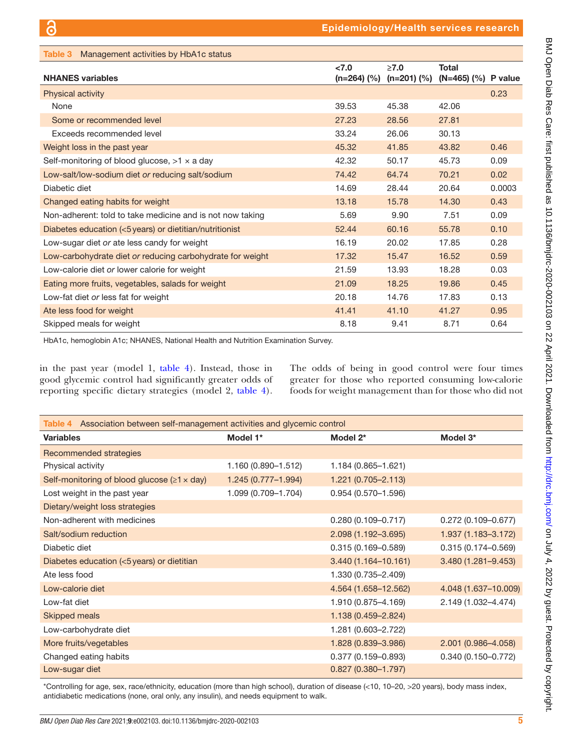<span id="page-4-0"></span>

| Management activities by HbA1c status<br>Table 3          |                      |                           |                              |        |
|-----------------------------------------------------------|----------------------|---------------------------|------------------------------|--------|
| <b>NHANES</b> variables                                   | < 7.0<br>(n=264) (%) | $\geq 7.0$<br>$(n=201)(%$ | Total<br>(N=465) (%) P value |        |
| <b>Physical activity</b>                                  |                      |                           |                              | 0.23   |
| None                                                      | 39.53                | 45.38                     | 42.06                        |        |
| Some or recommended level                                 | 27.23                | 28.56                     | 27.81                        |        |
| Exceeds recommended level                                 | 33.24                | 26.06                     | 30.13                        |        |
| Weight loss in the past year                              | 45.32                | 41.85                     | 43.82                        | 0.46   |
| Self-monitoring of blood glucose, $>1 \times a$ day       | 42.32                | 50.17                     | 45.73                        | 0.09   |
| Low-salt/low-sodium diet or reducing salt/sodium          | 74.42                | 64.74                     | 70.21                        | 0.02   |
| Diabetic diet                                             | 14.69                | 28.44                     | 20.64                        | 0.0003 |
| Changed eating habits for weight                          | 13.18                | 15.78                     | 14.30                        | 0.43   |
| Non-adherent: told to take medicine and is not now taking | 5.69                 | 9.90                      | 7.51                         | 0.09   |
| Diabetes education (<5 years) or dietitian/nutritionist   | 52.44                | 60.16                     | 55.78                        | 0.10   |
| Low-sugar diet or ate less candy for weight               | 16.19                | 20.02                     | 17.85                        | 0.28   |
| Low-carbohydrate diet or reducing carbohydrate for weight | 17.32                | 15.47                     | 16.52                        | 0.59   |
| Low-calorie diet or lower calorie for weight              | 21.59                | 13.93                     | 18.28                        | 0.03   |
| Eating more fruits, vegetables, salads for weight         | 21.09                | 18.25                     | 19.86                        | 0.45   |
| Low-fat diet or less fat for weight                       | 20.18                | 14.76                     | 17.83                        | 0.13   |
| Ate less food for weight                                  | 41.41                | 41.10                     | 41.27                        | 0.95   |
| Skipped meals for weight                                  | 8.18                 | 9.41                      | 8.71                         | 0.64   |

HbA1c, hemoglobin A1c; NHANES, National Health and Nutrition Examination Survey.

in the past year (model 1, [table](#page-4-1) 4). Instead, those in good glycemic control had significantly greater odds of reporting specific dietary strategies (model 2, [table](#page-4-1) 4). The odds of being in good control were four times greater for those who reported consuming low-calorie foods for weight management than for those who did not

<span id="page-4-1"></span>

| Association between self-management activities and glycemic control<br>Table 4 |                        |                        |                        |  |  |  |
|--------------------------------------------------------------------------------|------------------------|------------------------|------------------------|--|--|--|
| <b>Variables</b>                                                               | Model 1*               | Model 2*               | Model 3*               |  |  |  |
| Recommended strategies                                                         |                        |                        |                        |  |  |  |
| Physical activity                                                              | 1.160 (0.890-1.512)    | 1.184 (0.865-1.621)    |                        |  |  |  |
| Self-monitoring of blood glucose $(\geq 1 \times day)$                         | $1.245(0.777 - 1.994)$ | $1.221(0.705 - 2.113)$ |                        |  |  |  |
| Lost weight in the past year                                                   | 1.099 (0.709-1.704)    | 0.954 (0.570-1.596)    |                        |  |  |  |
| Dietary/weight loss strategies                                                 |                        |                        |                        |  |  |  |
| Non-adherent with medicines                                                    |                        | $0.280(0.109 - 0.717)$ | $0.272(0.109 - 0.677)$ |  |  |  |
| Salt/sodium reduction                                                          |                        | 2.098 (1.192-3.695)    | 1.937 (1.183-3.172)    |  |  |  |
| Diabetic diet                                                                  |                        | $0.315(0.169 - 0.589)$ | $0.315(0.174 - 0.569)$ |  |  |  |
| Diabetes education (<5 years) or dietitian                                     |                        | 3.440 (1.164-10.161)   | 3.480 (1.281-9.453)    |  |  |  |
| Ate less food                                                                  |                        | 1.330 (0.735-2.409)    |                        |  |  |  |
| Low-calorie diet                                                               |                        | 4.564 (1.658-12.562)   | 4.048 (1.637-10.009)   |  |  |  |
| Low-fat diet                                                                   |                        | 1.910 (0.875-4.169)    | 2.149 (1.032-4.474)    |  |  |  |
| <b>Skipped meals</b>                                                           |                        | 1.138 (0.459-2.824)    |                        |  |  |  |
| Low-carbohydrate diet                                                          |                        | 1.281 (0.603-2.722)    |                        |  |  |  |
| More fruits/vegetables                                                         |                        | 1.828 (0.839-3.986)    | 2.001 (0.986-4.058)    |  |  |  |
| Changed eating habits                                                          |                        | $0.377(0.159 - 0.893)$ | $0.340(0.150 - 0.772)$ |  |  |  |
| Low-sugar diet                                                                 |                        | $0.827(0.380 - 1.797)$ |                        |  |  |  |

\*Controlling for age, sex, race/ethnicity, education (more than high school), duration of disease (<10, 10–20, >20 years), body mass index, antidiabetic medications (none, oral only, any insulin), and needs equipment to walk.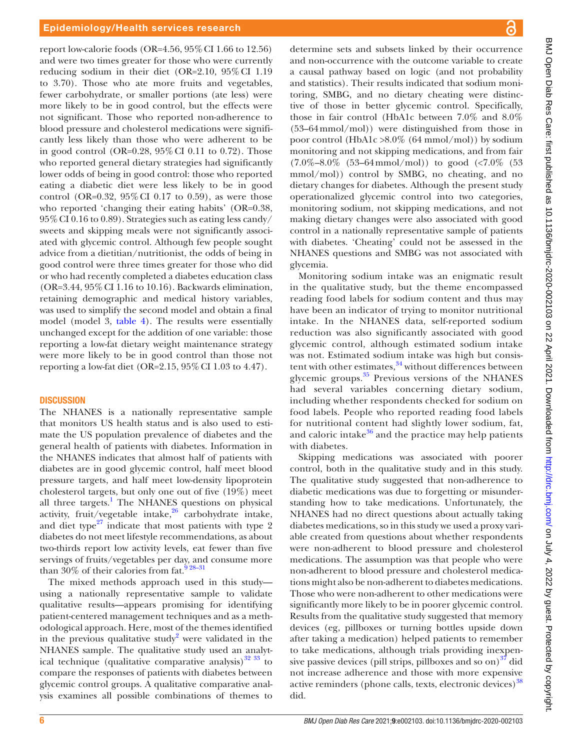report low-calorie foods (OR=4.56,  $95\%$  CI 1.66 to 12.56) and were two times greater for those who were currently reducing sodium in their diet (OR=2.10, 95%CI 1.19 to 3.70). Those who ate more fruits and vegetables, fewer carbohydrate, or smaller portions (ate less) were more likely to be in good control, but the effects were not significant. Those who reported non-adherence to blood pressure and cholesterol medications were significantly less likely than those who were adherent to be in good control (OR=0.28,  $95\%$  CI 0.11 to 0.72). Those who reported general dietary strategies had significantly lower odds of being in good control: those who reported eating a diabetic diet were less likely to be in good control (OR=0.32,  $95\%$  CI 0.17 to 0.59), as were those who reported 'changing their eating habits' (OR=0.38, 95%CI 0.16 to 0.89). Strategies such as eating less candy/ sweets and skipping meals were not significantly associated with glycemic control. Although few people sought advice from a dietitian/nutritionist, the odds of being in good control were three times greater for those who did or who had recently completed a diabetes education class (OR=3.44, 95%CI 1.16 to 10.16). Backwards elimination, retaining demographic and medical history variables, was used to simplify the second model and obtain a final model (model 3, [table](#page-4-1) 4). The results were essentially unchanged except for the addition of one variable: those reporting a low-fat dietary weight maintenance strategy were more likely to be in good control than those not reporting a low-fat diet (OR= $2.15$ ,  $95\%$  CI 1.03 to 4.47).

#### **DISCUSSION**

The NHANES is a nationally representative sample that monitors US health status and is also used to estimate the US population prevalence of diabetes and the general health of patients with diabetes. Information in the NHANES indicates that almost half of patients with diabetes are in good glycemic control, half meet blood pressure targets, and half meet low-density lipoprotein cholesterol targets, but only one out of five (19%) meet all three targets.<sup>1</sup> The NHANES questions on physical activity, fruit/vegetable intake, $26$  carbohydrate intake, and diet type<sup>27</sup> indicate that most patients with type 2 diabetes do not meet lifestyle recommendations, as about two-thirds report low activity levels, eat fewer than five servings of fruits/vegetables per day, and consume more than 30% of their calories from fat.<sup>9 28-31</sup>

The mixed methods approach used in this study using a nationally representative sample to validate qualitative results—appears promising for identifying patient-centered management techniques and as a methodological approach. Here, most of the themes identified in the previous qualitative study<sup>[2](#page-7-1)</sup> were validated in the NHANES sample. The qualitative study used an analytical technique (qualitative comparative analysis) $3233$  to compare the responses of patients with diabetes between glycemic control groups. A qualitative comparative analysis examines all possible combinations of themes to

determine sets and subsets linked by their occurrence and non-occurrence with the outcome variable to create a causal pathway based on logic (and not probability and statistics). Their results indicated that sodium monitoring, SMBG, and no dietary cheating were distinctive of those in better glycemic control. Specifically, those in fair control (HbA1c between 7.0% and 8.0% (53–64mmol/mol)) were distinguished from those in poor control (HbA1c >8.0% (64 mmol/mol)) by sodium monitoring and not skipping medications, and from fair  $(7.0\% - 8.0\%)(53-64 \text{mmol/mol})$  to good  $(<7.0\%)(53)$ mmol/mol)) control by SMBG, no cheating, and no dietary changes for diabetes. Although the present study operationalized glycemic control into two categories, monitoring sodium, not skipping medications, and not making dietary changes were also associated with good control in a nationally representative sample of patients with diabetes. 'Cheating' could not be assessed in the NHANES questions and SMBG was not associated with glycemia.

Monitoring sodium intake was an enigmatic result in the qualitative study, but the theme encompassed reading food labels for sodium content and thus may have been an indicator of trying to monitor nutritional intake. In the NHANES data, self-reported sodium reduction was also significantly associated with good glycemic control, although estimated sodium intake was not. Estimated sodium intake was high but consistent with other estimates, $34$  without differences between glycemic groups. $35$  Previous versions of the NHANES had several variables concerning dietary sodium, including whether respondents checked for sodium on food labels. People who reported reading food labels for nutritional content had slightly lower sodium, fat, and caloric intake $36$  and the practice may help patients with diabetes.

Skipping medications was associated with poorer control, both in the qualitative study and in this study. The qualitative study suggested that non-adherence to diabetic medications was due to forgetting or misunderstanding how to take medications. Unfortunately, the NHANES had no direct questions about actually taking diabetes medications, so in this study we used a proxy variable created from questions about whether respondents were non-adherent to blood pressure and cholesterol medications. The assumption was that people who were non-adherent to blood pressure and cholesterol medications might also be non-adherent to diabetes medications. Those who were non-adherent to other medications were significantly more likely to be in poorer glycemic control. Results from the qualitative study suggested that memory devices (eg, pillboxes or turning bottles upside down after taking a medication) helped patients to remember to take medications, although trials providing inexpensive passive devices (pill strips, pillboxes and so on) $^{37}$  $^{37}$  $^{37}$  did not increase adherence and those with more expensive active reminders (phone calls, texts, electronic devices)<sup>[38](#page-8-5)</sup> did.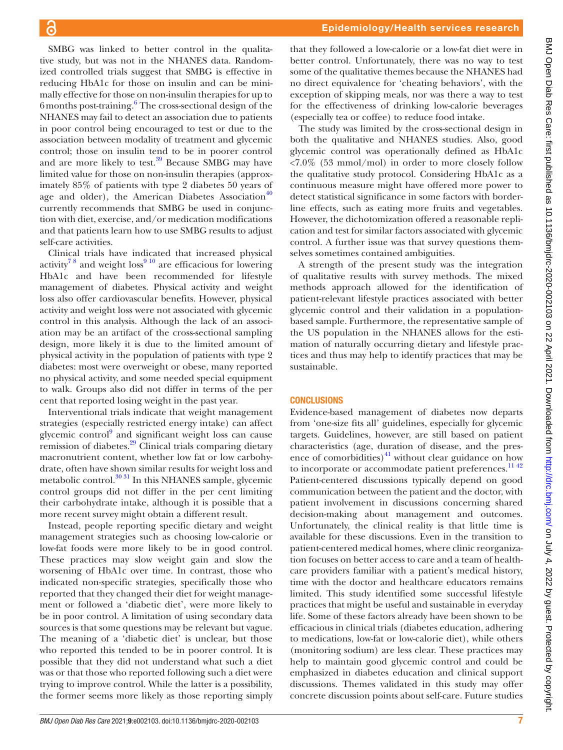SMBG was linked to better control in the qualitative study, but was not in the NHANES data. Randomized controlled trials suggest that SMBG is effective in reducing HbA1c for those on insulin and can be minimally effective for those on non-insulin therapies for up to [6](#page-7-4) months post-training.<sup>6</sup> The cross-sectional design of the NHANES may fail to detect an association due to patients in poor control being encouraged to test or due to the association between modality of treatment and glycemic control; those on insulin tend to be in poorer control and are more likely to test. $39$  Because SMBG may have limited value for those on non-insulin therapies (approximately 85% of patients with type 2 diabetes 50 years of age and older), the American Diabetes Association $40$ currently recommends that SMBG be used in conjunction with diet, exercise, and/or medication modifications and that patients learn how to use SMBG results to adjust self-care activities.

Clinical trials have indicated that increased physical activity<sup>78</sup> and weight loss<sup>910</sup> are efficacious for lowering HbA1c and have been recommended for lifestyle management of diabetes. Physical activity and weight loss also offer cardiovascular benefits. However, physical activity and weight loss were not associated with glycemic control in this analysis. Although the lack of an association may be an artifact of the cross-sectional sampling design, more likely it is due to the limited amount of physical activity in the population of patients with type 2 diabetes: most were overweight or obese, many reported no physical activity, and some needed special equipment to walk. Groups also did not differ in terms of the per cent that reported losing weight in the past year.

Interventional trials indicate that weight management strategies (especially restricted energy intake) can affect glycemic control<sup>[9](#page-7-15)</sup> and significant weight loss can cause remission of diabetes.<sup>[29](#page-8-8)</sup> Clinical trials comparing dietary macronutrient content, whether low fat or low carbohydrate, often have shown similar results for weight loss and metabolic control.<sup>30 31</sup> In this NHANES sample, glycemic control groups did not differ in the per cent limiting their carbohydrate intake, although it is possible that a more recent survey might obtain a different result.

Instead, people reporting specific dietary and weight management strategies such as choosing low-calorie or low-fat foods were more likely to be in good control. These practices may slow weight gain and slow the worsening of HbA1c over time. In contrast, those who indicated non-specific strategies, specifically those who reported that they changed their diet for weight management or followed a 'diabetic diet', were more likely to be in poor control. A limitation of using secondary data sources is that some questions may be relevant but vague. The meaning of a 'diabetic diet' is unclear, but those who reported this tended to be in poorer control. It is possible that they did not understand what such a diet was or that those who reported following such a diet were trying to improve control. While the latter is a possibility, the former seems more likely as those reporting simply

that they followed a low-calorie or a low-fat diet were in better control. Unfortunately, there was no way to test some of the qualitative themes because the NHANES had no direct equivalence for 'cheating behaviors', with the exception of skipping meals, nor was there a way to test for the effectiveness of drinking low-calorie beverages (especially tea or coffee) to reduce food intake.

The study was limited by the cross-sectional design in both the qualitative and NHANES studies. Also, good glycemic control was operationally defined as HbA1c  $\langle 7.0\%$  (53 mmol/mol) in order to more closely follow the qualitative study protocol. Considering HbA1c as a continuous measure might have offered more power to detect statistical significance in some factors with borderline effects, such as eating more fruits and vegetables. However, the dichotomization offered a reasonable replication and test for similar factors associated with glycemic control. A further issue was that survey questions themselves sometimes contained ambiguities.

A strength of the present study was the integration of qualitative results with survey methods. The mixed methods approach allowed for the identification of patient-relevant lifestyle practices associated with better glycemic control and their validation in a populationbased sample. Furthermore, the representative sample of the US population in the NHANES allows for the estimation of naturally occurring dietary and lifestyle practices and thus may help to identify practices that may be sustainable.

#### **CONCLUSIONS**

Evidence-based management of diabetes now departs from 'one-size fits all' guidelines, especially for glycemic targets. Guidelines, however, are still based on patient characteristics (age, duration of disease, and the presence of comorbidities) $^{41}$  without clear guidance on how to incorporate or accommodate patient preferences.<sup>1142</sup> Patient-centered discussions typically depend on good communication between the patient and the doctor, with patient involvement in discussions concerning shared decision-making about management and outcomes. Unfortunately, the clinical reality is that little time is available for these discussions. Even in the transition to patient-centered medical homes, where clinic reorganization focuses on better access to care and a team of healthcare providers familiar with a patient's medical history, time with the doctor and healthcare educators remains limited. This study identified some successful lifestyle practices that might be useful and sustainable in everyday life. Some of these factors already have been shown to be efficacious in clinical trials (diabetes education, adhering to medications, low-fat or low-calorie diet), while others (monitoring sodium) are less clear. These practices may help to maintain good glycemic control and could be emphasized in diabetes education and clinical support discussions. Themes validated in this study may offer concrete discussion points about self-care. Future studies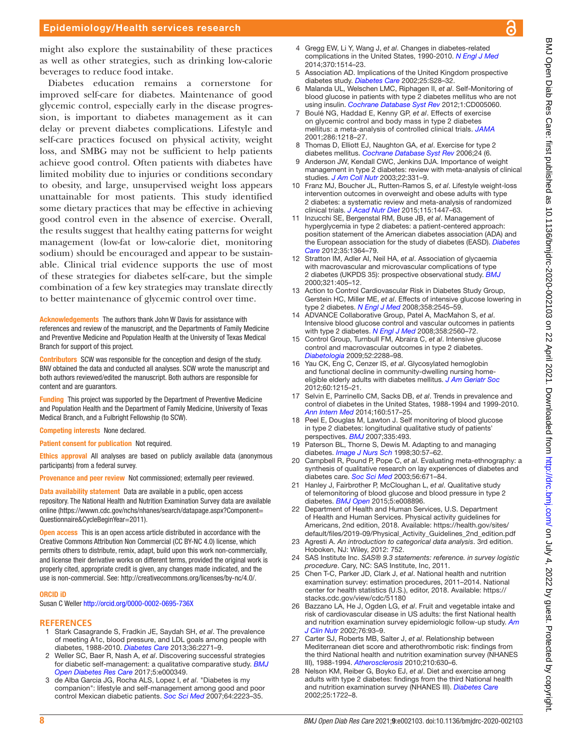#### Epidemiology/Health services research

might also explore the sustainability of these practices as well as other strategies, such as drinking low-calorie beverages to reduce food intake.

Diabetes education remains a cornerstone for improved self-care for diabetes. Maintenance of good glycemic control, especially early in the disease progression, is important to diabetes management as it can delay or prevent diabetes complications. Lifestyle and self-care practices focused on physical activity, weight loss, and SMBG may not be sufficient to help patients achieve good control. Often patients with diabetes have limited mobility due to injuries or conditions secondary to obesity, and large, unsupervised weight loss appears unattainable for most patients. This study identified some dietary practices that may be effective in achieving good control even in the absence of exercise. Overall, the results suggest that healthy eating patterns for weight management (low-fat or low-calorie diet, monitoring sodium) should be encouraged and appear to be sustainable. Clinical trial evidence supports the use of most of these strategies for diabetes self-care, but the simple combination of a few key strategies may translate directly to better maintenance of glycemic control over time.

Acknowledgements The authors thank John W Davis for assistance with references and review of the manuscript, and the Departments of Family Medicine and Preventive Medicine and Population Health at the University of Texas Medical Branch for support of this project.

Contributors SCW was responsible for the conception and design of the study. BNV obtained the data and conducted all analyses. SCW wrote the manuscript and both authors reviewed/edited the manuscript. Both authors are responsible for content and are guarantors.

Funding This project was supported by the Department of Preventive Medicine and Population Health and the Department of Family Medicine, University of Texas Medical Branch, and a Fulbright Fellowship (to SCW).

Competing interests None declared.

Patient consent for publication Not required.

Ethics approval All analyses are based on publicly available data (anonymous participants) from a federal survey.

Provenance and peer review Not commissioned; externally peer reviewed.

Data availability statement Data are available in a public, open access repository. The National Health and Nutrition Examination Survey data are available online ([https://wwwn.cdc.gov/nchs/nhanes/search/datapage.aspx?Component=](https://wwwn.cdc.gov/nchs/nhanes/search/datapage.aspx?Component=Questionnaire&CycleBeginYear=2011) [Questionnaire&CycleBeginYear=2011](https://wwwn.cdc.gov/nchs/nhanes/search/datapage.aspx?Component=Questionnaire&CycleBeginYear=2011)).

Open access This is an open access article distributed in accordance with the Creative Commons Attribution Non Commercial (CC BY-NC 4.0) license, which permits others to distribute, remix, adapt, build upon this work non-commercially, and license their derivative works on different terms, provided the original work is properly cited, appropriate credit is given, any changes made indicated, and the use is non-commercial. See:<http://creativecommons.org/licenses/by-nc/4.0/>.

#### ORCID iD

Susan C Weller<http://orcid.org/0000-0002-0695-736X>

#### **REFERENCES**

- <span id="page-7-0"></span>1 Stark Casagrande S, Fradkin JE, Saydah SH, *et al*. The prevalence of meeting A1c, blood pressure, and LDL goals among people with diabetes, 1988-2010. *[Diabetes Care](http://dx.doi.org/10.2337/dc12-2258)* 2013;36:2271–9.
- <span id="page-7-1"></span>2 Weller SC, Baer R, Nash A, *et al*. Discovering successful strategies for diabetic self-management: a qualitative comparative study. *[BMJ](http://dx.doi.org/10.1136/bmjdrc-2016-000349)  [Open Diabetes Res Care](http://dx.doi.org/10.1136/bmjdrc-2016-000349)* 2017;5:e000349.
- <span id="page-7-8"></span>3 de Alba Garcia JG, Rocha ALS, Lopez I, *et al*. "Diabetes is my companion": lifestyle and self-management among good and poor control Mexican diabetic patients. *[Soc Sci Med](http://dx.doi.org/10.1016/j.socscimed.2007.02.001)* 2007;64:2223–35.
- <span id="page-7-2"></span>4 Gregg EW, Li Y, Wang J, *et al*. Changes in diabetes-related complications in the United States, 1990-2010. *[N Engl J Med](http://dx.doi.org/10.1056/NEJMoa1310799)* 2014;370:1514–23.
- <span id="page-7-3"></span>5 Association AD. Implications of the United Kingdom prospective diabetes study. *[Diabetes Care](http://dx.doi.org/10.2337/diacare.25.2007.S28)* 2002;25:S28–32.
- <span id="page-7-4"></span>6 Malanda UL, Welschen LMC, Riphagen II, *et al*. Self-Monitoring of blood glucose in patients with type 2 diabetes mellitus who are not using insulin. *[Cochrane Database Syst Rev](http://dx.doi.org/10.1002/14651858.CD005060.pub3)* 2012;1:CD005060.
- <span id="page-7-16"></span>7 Boulé NG, Haddad E, Kenny GP, *et al*. Effects of exercise on glycemic control and body mass in type 2 diabetes mellitus: a meta-analysis of controlled clinical trials. *[JAMA](http://dx.doi.org/10.1001/jama.286.10.1218)* 2001;286:1218–27.
- 8 Thomas D, Elliott EJ, Naughton GA, *et al*. Exercise for type 2 diabetes mellitus. *[Cochrane Database Syst Rev](http://dx.doi.org/10.1002/14651858.CD002968.pub2)* 2006;24 (6.
- <span id="page-7-15"></span>9 Anderson JW, Kendall CWC, Jenkins DJA. Importance of weight management in type 2 diabetes: review with meta-analysis of clinical studies. *[J Am Coll Nutr](http://dx.doi.org/10.1080/07315724.2003.10719316)* 2003;22:331–9.
- 10 Franz MJ, Boucher JL, Rutten-Ramos S, *et al*. Lifestyle weight-loss intervention outcomes in overweight and obese adults with type 2 diabetes: a systematic review and meta-analysis of randomized clinical trials. *[J Acad Nutr Diet](http://dx.doi.org/10.1016/j.jand.2015.02.031)* 2015;115:1447–63.
- <span id="page-7-5"></span>11 Inzucchi SE, Bergenstal RM, Buse JB, *et al*. Management of hyperglycemia in type 2 diabetes: a patient-centered approach: position statement of the American diabetes association (ADA) and the European association for the study of diabetes (EASD). *[Diabetes](http://dx.doi.org/10.2337/dc12-0413)  [Care](http://dx.doi.org/10.2337/dc12-0413)* 2012;35:1364–79.
- <span id="page-7-6"></span>12 Stratton IM, Adler AI, Neil HA, *et al*. Association of glycaemia with macrovascular and microvascular complications of type 2 diabetes (UKPDS 35): prospective observational study. *[BMJ](http://dx.doi.org/10.1136/bmj.321.7258.405)* 2000;321:405–12.
- <span id="page-7-7"></span>13 Action to Control Cardiovascular Risk in Diabetes Study Group, Gerstein HC, Miller ME, *et al*. Effects of intensive glucose lowering in type 2 diabetes. *[N Engl J Med](http://dx.doi.org/10.1056/NEJMoa0802743)* 2008;358:2545–59.
- 14 ADVANCE Collaborative Group, Patel A, MacMahon S, *et al*. Intensive blood glucose control and vascular outcomes in patients with type 2 diabetes. *[N Engl J Med](http://dx.doi.org/10.1056/NEJMoa0802987)* 2008;358:2560–72.
- 15 Control Group, Turnbull FM, Abraira C, *et al*. Intensive glucose control and macrovascular outcomes in type 2 diabetes. *[Diabetologia](http://dx.doi.org/10.1007/s00125-009-1470-0)* 2009;52:2288–98.
- 16 Yau CK, Eng C, Cenzer IS, *et al*. Glycosylated hemoglobin and functional decline in community-dwelling nursing homeeligible elderly adults with diabetes mellitus. *[J Am Geriatr Soc](http://dx.doi.org/10.1111/j.1532-5415.2012.04041.x)* 2012;60:1215–21.
- 17 Selvin E, Parrinello CM, Sacks DB, *et al*. Trends in prevalence and control of diabetes in the United States, 1988-1994 and 1999-2010. *[Ann Intern Med](http://dx.doi.org/10.7326/M13-2411)* 2014;160:517–25.
- <span id="page-7-9"></span>18 Peel E, Douglas M, Lawton J. Self monitoring of blood glucose in type 2 diabetes: longitudinal qualitative study of patients' perspectives. *[BMJ](http://dx.doi.org/10.1136/bmj.39302.444572.DE)* 2007;335:493.
- 19 Paterson BL, Thorne S, Dewis M. Adapting to and managing diabetes. *[Image J Nurs Sch](http://dx.doi.org/10.1111/j.1547-5069.1998.tb01237.x)* 1998;30:57–62.
- 20 Campbell R, Pound P, Pope C, *et al*. Evaluating meta-ethnography: a synthesis of qualitative research on lay experiences of diabetes and diabetes care. *[Soc Sci Med](http://dx.doi.org/10.1016/S0277-9536(02)00064-3)* 2003;56:671–84.
- 21 Hanley J, Fairbrother P, McCloughan L, *et al*. Qualitative study of telemonitoring of blood glucose and blood pressure in type 2 diabetes. *[BMJ Open](http://dx.doi.org/10.1136/bmjopen-2015-008896)* 2015;5:e008896.
- <span id="page-7-10"></span>22 Department of Health and Human Services, U.S. Department of Health and Human Services. Physical activity guidelines for Americans, 2nd edition, 2018. Available: [https://health.gov/sites/](https://health.gov/sites/default/files/2019-09/Physical_Activity_Guidelines_2nd_edition.pdf) [default/files/2019-09/Physical\\_Activity\\_Guidelines\\_2nd\\_edition.pdf](https://health.gov/sites/default/files/2019-09/Physical_Activity_Guidelines_2nd_edition.pdf)
- <span id="page-7-11"></span>23 Agresti A. *An introduction to categorical data analysis*. 3rd edition. Hoboken, NJ: Wiley, 2012: 752.
- 24 SAS Institute Inc. *SAS® 9.3 statements: reference. in survey logistic procedure*. Cary, NC: SAS Institute, Inc, 2011.
- <span id="page-7-12"></span>25 Chen T-C, Parker JD, Clark J, *et al*. National health and nutrition examination survey: estimation procedures, 2011–2014. National center for health statistics (U.S.), editor, 2018. Available: [https://](https://stacks.cdc.gov/view/cdc/51180) [stacks.cdc.gov/view/cdc/51180](https://stacks.cdc.gov/view/cdc/51180)
- <span id="page-7-13"></span>26 Bazzano LA, He J, Ogden LG, *et al*. Fruit and vegetable intake and risk of cardiovascular disease in US adults: the first National health and nutrition examination survey epidemiologic follow-up study. *[Am](http://dx.doi.org/10.1093/ajcn/76.1.93)  [J Clin Nutr](http://dx.doi.org/10.1093/ajcn/76.1.93)* 2002;76:93–9.
- <span id="page-7-14"></span>27 Carter SJ, Roberts MB, Salter J, *et al*. Relationship between Mediterranean diet score and atherothrombotic risk: findings from the third National health and nutrition examination survey (NHANES III), 1988-1994. *[Atherosclerosis](http://dx.doi.org/10.1016/j.atherosclerosis.2009.12.035)* 2010;210:630–6.
- 28 Nelson KM, Reiber G, Boyko EJ, *et al*. Diet and exercise among adults with type 2 diabetes: findings from the third National health and nutrition examination survey (NHANES III). *[Diabetes Care](http://dx.doi.org/10.2337/diacare.25.10.1722)* 2002;25:1722–8.